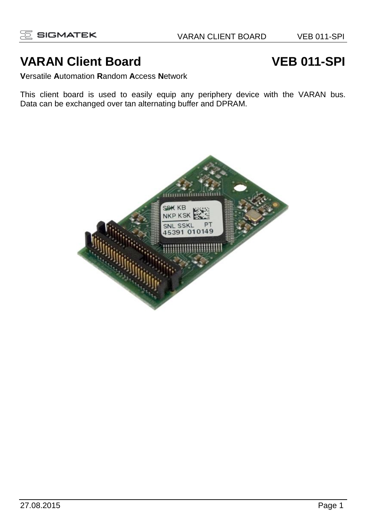# **VARAN Client Board VEB 011-SPI**

**V**ersatile **A**utomation **R**andom **A**ccess **N**etwork

This client board is used to easily equip any periphery device with the VARAN bus. Data can be exchanged over tan alternating buffer and DPRAM.

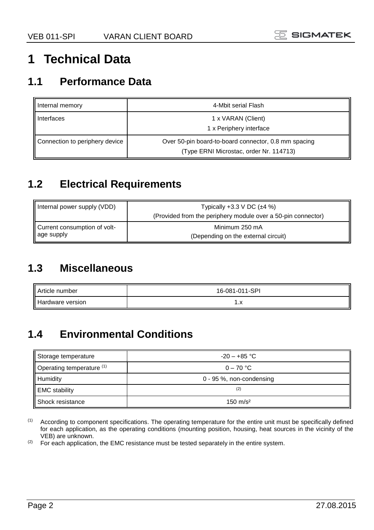# **1 Technical Data**

#### **1.1 Performance Data**

| Internal memory                | 4-Mbit serial Flash                                                                             |
|--------------------------------|-------------------------------------------------------------------------------------------------|
| Interfaces                     | 1 x VARAN (Client)<br>1 x Periphery interface                                                   |
| Connection to periphery device | Over 50-pin board-to-board connector, 0.8 mm spacing<br>(Type ERNI Microstac, order Nr. 114713) |

## **1.2 Electrical Requirements**

| Internal power supply (VDD)  | Typically $+3.3$ V DC $(\pm 4\%)$<br>(Provided from the periphery module over a 50-pin connector) |  |  |
|------------------------------|---------------------------------------------------------------------------------------------------|--|--|
| Current consumption of volt- | Minimum 250 mA                                                                                    |  |  |
| age supply                   | (Depending on the external circuit)                                                               |  |  |

## **1.3 Miscellaneous**

| Article number   | 16-081-011-SPI |
|------------------|----------------|
| Hardware version | . . <u>n</u>   |

## **1.4 Environmental Conditions**

| Storage temperature       | $-20 - +85$ °C             |
|---------------------------|----------------------------|
| Operating temperature (1) | $0 - 70$ °C                |
| <b>Humidity</b>           | $0 - 95$ %, non-condensing |
| <b>EMC</b> stability      | (2)                        |
| Shock resistance          | $150 \text{ m/s}^2$        |

(1) According to component specifications. The operating temperature for the entire unit must be specifically defined for each application, as the operating conditions (mounting position, housing, heat sources in the vicinity of the VEB) are unknown.

(2) For each application, the EMC resistance must be tested separately in the entire system.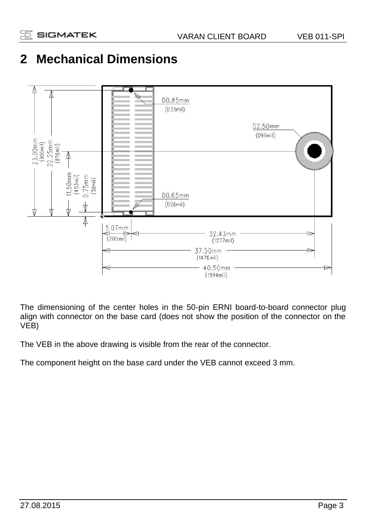# **2 Mechanical Dimensions**



The dimensioning of the center holes in the 50-pin ERNI board-to-board connector plug align with connector on the base card (does not show the position of the connector on the VEB)

The VEB in the above drawing is visible from the rear of the connector.

The component height on the base card under the VEB cannot exceed 3 mm.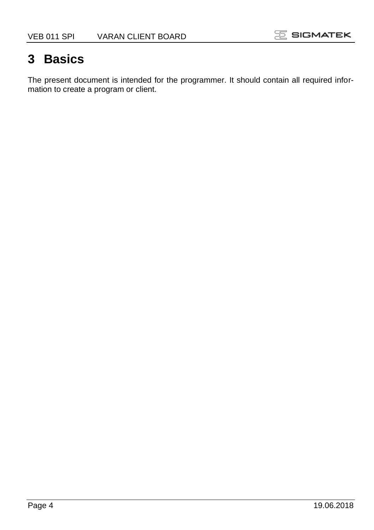# **3 Basics**

The present document is intended for the programmer. It should contain all required information to create a program or client.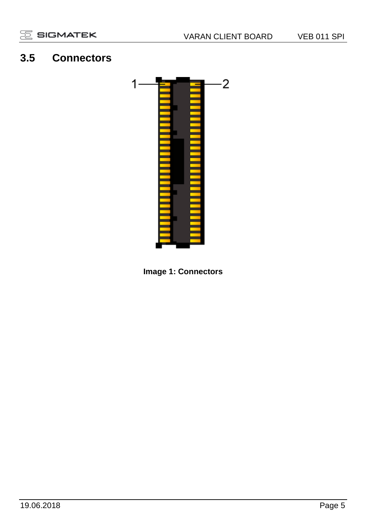### **3.5 Connectors**



**Image 1: Connectors**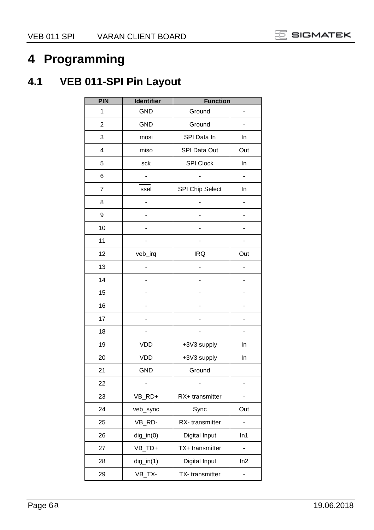# **Programming**

# **4.1 VEB 011-SPI Pin Layout**

| PIN            | Identifier     | <b>Function</b>  |                      |
|----------------|----------------|------------------|----------------------|
| 1              | <b>GND</b>     | Ground           |                      |
| $\overline{2}$ | <b>GND</b>     | Ground           | $\overline{a}$       |
| 3              | mosi           | SPI Data In      | In                   |
| 4              | miso           | SPI Data Out     | Out                  |
| 5              | sck            | <b>SPI Clock</b> | In                   |
| 6              | $\frac{1}{2}$  | 4                | $\frac{1}{2}$        |
| $\overline{7}$ | ssel           | SPI Chip Select  | In                   |
| 8              | $\overline{a}$ |                  | $\overline{a}$       |
| 9              | $\overline{a}$ |                  |                      |
| 10             |                |                  | $\frac{1}{2}$        |
| 11             | $\overline{a}$ |                  | $\overline{a}$       |
| 12             | veb_irq        | <b>IRQ</b>       | Out                  |
| 13             |                |                  | ٠                    |
| 14             |                |                  | $\overline{a}$       |
| 15             | $\overline{a}$ |                  | -                    |
| 16             |                |                  |                      |
| 17             | $\overline{a}$ |                  | $\overline{a}$       |
| 18             |                |                  | $\overline{a}$       |
| 19             | <b>VDD</b>     | +3V3 supply      | In                   |
| 20             | <b>VDD</b>     | +3V3 supply      | In                   |
| 21             | <b>GND</b>     | Ground           |                      |
| 22             | $\overline{a}$ |                  | $\overline{a}$       |
| 23             | VB RD+         | RX+ transmitter  | $\overline{a}$       |
| 24             | veb_sync       | Sync             | Out                  |
| 25             | VB_RD-         | RX-transmitter   | $\ddot{\phantom{0}}$ |
| 26             | $dig_in(0)$    | Digital Input    | In1                  |
| 27             | VB_TD+         | TX+ transmitter  | $\overline{a}$       |
| 28             | $dig_in(1)$    | Digital Input    | ln2                  |
| 29             | VB_TX-         | TX-transmitter   | -                    |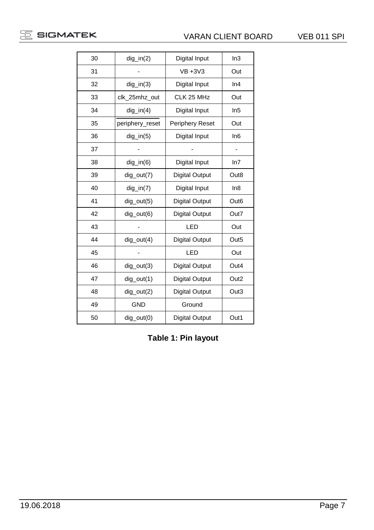

| 30 | $dig_in(2)$     | Digital Input         | In3              |
|----|-----------------|-----------------------|------------------|
| 31 |                 | $VB + 3V3$            | Out              |
| 32 | $dig_in(3)$     | Digital Input         | In4              |
| 33 | clk 25mhz out   | CLK 25 MHz            | Out              |
| 34 | $dig_in(4)$     | Digital Input         | In5              |
| 35 | periphery reset | Periphery Reset       | Out              |
| 36 | $dig_in(5)$     | Digital Input         | In6              |
| 37 |                 |                       |                  |
| 38 | $dig_in(6)$     | Digital Input         | In7              |
| 39 | dig_out(7)      | <b>Digital Output</b> | Out <sub>8</sub> |
| 40 | $dig_in(7)$     | Digital Input         | In8              |
| 41 | $dig_{out(5)}$  | <b>Digital Output</b> | Out <sub>6</sub> |
| 42 | dig_out(6)      | <b>Digital Output</b> | Out7             |
| 43 |                 | LED                   | Out              |
| 44 | $dig_{out(4)}$  | <b>Digital Output</b> | Out <sub>5</sub> |
| 45 |                 | LED                   | Out              |
| 46 | $dig_{out(3)}$  | <b>Digital Output</b> | Out4             |
| 47 | $dig_{out(1)}$  | <b>Digital Output</b> | Out <sub>2</sub> |
| 48 | $dig_{out(2)}$  | <b>Digital Output</b> | Out3             |
| 49 | <b>GND</b>      | Ground                |                  |
| 50 | $dig_{out(0)}$  | <b>Digital Output</b> | Out1             |

**Table 1: Pin layout**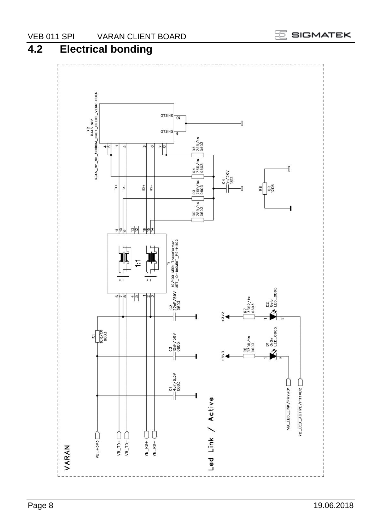

## VEB 011 SPIN VARAN CLIENT BOARD<br>4.2 Electrical bonding **4.2 Electrical bonding**

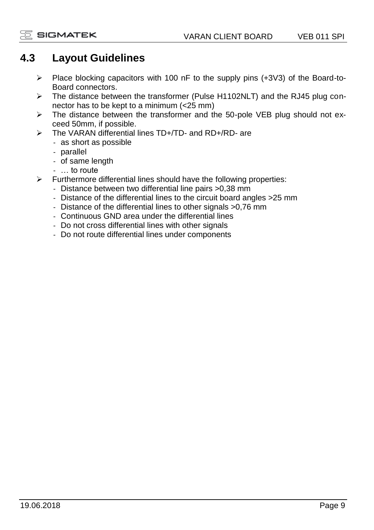#### **4.3 Layout Guidelines**

- ➢ Place blocking capacitors with 100 nF to the supply pins (+3V3) of the Board-to-Board connectors.
- ➢ The distance between the transformer (Pulse H1102NLT) and the RJ45 plug connector has to be kept to a minimum (<25 mm)
- $\triangleright$  The distance between the transformer and the 50-pole VEB plug should not exceed 50mm, if possible.
- ➢ The VARAN differential lines TD+/TD- and RD+/RD- are
	- as short as possible
		- parallel
		- of same length
		- … to route
- $\triangleright$  Furthermore differential lines should have the following properties:
	- Distance between two differential line pairs >0,38 mm
	- Distance of the differential lines to the circuit board angles >25 mm
	- Distance of the differential lines to other signals >0,76 mm
	- Continuous GND area under the differential lines
	- Do not cross differential lines with other signals
	- Do not route differential lines under components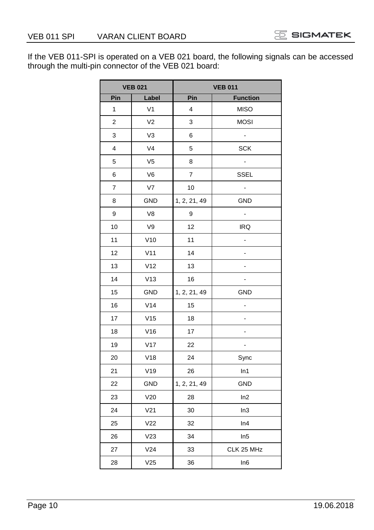If the VEB 011-SPI is operated on a VEB 021 board, the following signals can be accessed through the multi-pin connector of the VEB 021 board:

|     | <b>VEB 021</b>  |              | <b>VEB 011</b>  |  |
|-----|-----------------|--------------|-----------------|--|
| Pin | Label           | Pin          | <b>Function</b> |  |
| 1   | V <sub>1</sub>  | 4            | <b>MISO</b>     |  |
| 2   | V <sub>2</sub>  | 3            | <b>MOSI</b>     |  |
| 3   | V3              | 6            |                 |  |
| 4   | V <sub>4</sub>  | 5            | <b>SCK</b>      |  |
| 5   | V <sub>5</sub>  | 8            |                 |  |
| 6   | V6              | 7            | SSEL            |  |
| 7   | V7              | 10           |                 |  |
| 8   | GND             | 1, 2, 21, 49 | <b>GND</b>      |  |
| 9   | V8              | 9            |                 |  |
| 10  | V9              | 12           | <b>IRQ</b>      |  |
| 11  | V10             | 11           |                 |  |
| 12  | V11             | 14           | -               |  |
| 13  | V <sub>12</sub> | 13           |                 |  |
| 14  | V13             | 16           | -               |  |
| 15  | <b>GND</b>      | 1, 2, 21, 49 | <b>GND</b>      |  |
| 16  | V14             | 15           | -               |  |
| 17  | V15             | 18           |                 |  |
| 18  | V16             | 17           |                 |  |
| 19  | V17             | 22           |                 |  |
| 20  | V18             | 24           | Sync            |  |
| 21  | V19             | 26           | In1             |  |
| 22  | GND             | 1, 2, 21, 49 | GND             |  |
| 23  | V20             | 28           | ln2             |  |
| 24  | V <sub>21</sub> | 30           | In3             |  |
| 25  | V <sub>22</sub> | 32           | In4             |  |
| 26  | V23             | 34           | In5             |  |
| 27  | V24             | 33           | CLK 25 MHz      |  |
| 28  | V25             | 36           | In6             |  |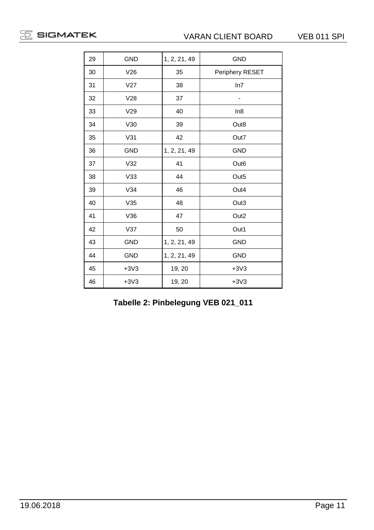| 29 | GND        | 1, 2, 21, 49 | <b>GND</b>       |
|----|------------|--------------|------------------|
| 30 | V26        | 35           | Periphery RESET  |
| 31 | V27        | 38           | ln7              |
| 32 | V28        | 37           |                  |
| 33 | V29        | 40           | In8              |
| 34 | V30        | 39           | Out8             |
| 35 | V31        | 42           | Out7             |
| 36 | <b>GND</b> | 1, 2, 21, 49 | <b>GND</b>       |
| 37 | V32        | 41           | Out <sub>6</sub> |
| 38 | V33        | 44           | Out <sub>5</sub> |
| 39 | V34        | 46           | Out4             |
| 40 | V35        | 48           | Out3             |
| 41 | V36        | 47           | Out <sub>2</sub> |
| 42 | V37        | 50           | Out1             |
| 43 | <b>GND</b> | 1, 2, 21, 49 | <b>GND</b>       |
| 44 | <b>GND</b> | 1, 2, 21, 49 | <b>GND</b>       |
| 45 | $+3V3$     | 19, 20       | $+3V3$           |
| 46 | $+3V3$     | 19, 20       | $+3V3$           |

**Tabelle 2: Pinbelegung VEB 021\_011**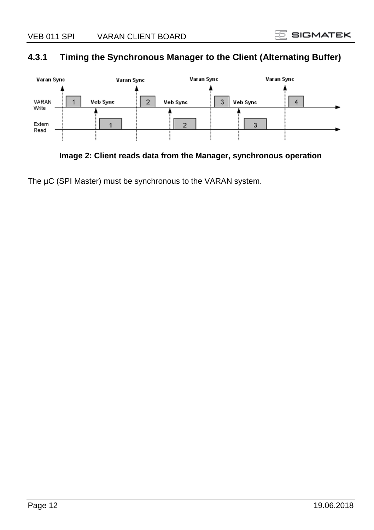#### **4.3.1 Timing the Synchronous Manager to the Client (Alternating Buffer)**



**Image 2: Client reads data from the Manager, synchronous operation**

The µC (SPI Master) must be synchronous to the VARAN system.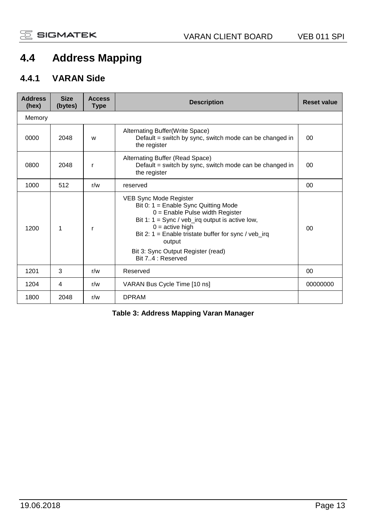## **4.4 Address Mapping**

#### **4.4.1 VARAN Side**

| <b>Address</b><br>(hex) | <b>Size</b><br>(bytes) | <b>Access</b><br><b>Type</b> | <b>Description</b>                                                                                                                                                                                                                                                                                                            | <b>Reset value</b> |
|-------------------------|------------------------|------------------------------|-------------------------------------------------------------------------------------------------------------------------------------------------------------------------------------------------------------------------------------------------------------------------------------------------------------------------------|--------------------|
| Memory                  |                        |                              |                                                                                                                                                                                                                                                                                                                               |                    |
| 0000                    | 2048                   | W                            | Alternating Buffer(Write Space)<br>Default = switch by sync, switch mode can be changed in<br>the register                                                                                                                                                                                                                    | $00 \,$            |
| 0800                    | 2048                   | r                            | Alternating Buffer (Read Space)<br>Default = switch by sync, switch mode can be changed in<br>the register                                                                                                                                                                                                                    | $00 \,$            |
| 1000                    | 512                    | r/w                          | reserved                                                                                                                                                                                                                                                                                                                      | 00                 |
| 1200                    | 1                      | r                            | VEB Sync Mode Register<br>Bit 0: $1 =$ Enable Sync Quitting Mode<br>$0 =$ Enable Pulse width Register<br>Bit 1: $1 = \text{sync} / \text{veb}$ irq output is active low,<br>$0 =$ active high<br>Bit 2: 1 = Enable tristate buffer for sync / $veb$ _irg<br>output<br>Bit 3: Sync Output Register (read)<br>Bit 74 : Reserved | $00 \,$            |
| 1201                    | 3                      | r/w                          | Reserved                                                                                                                                                                                                                                                                                                                      | 00 <sup>1</sup>    |
| 1204                    | 4                      | r/w                          | VARAN Bus Cycle Time [10 ns]                                                                                                                                                                                                                                                                                                  | 00000000           |
| 1800                    | 2048                   | r/w                          | <b>DPRAM</b>                                                                                                                                                                                                                                                                                                                  |                    |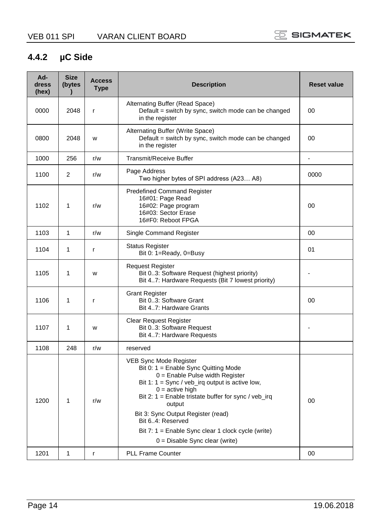#### **4.4.2 µC Side**

| Ad-<br>dress<br>(hex) | <b>Size</b><br>(bytes<br>$\lambda$ | <b>Access</b><br><b>Type</b> | <b>Description</b>                                                                                                                                                                                                                                                                                                                                                                                                       | <b>Reset value</b> |
|-----------------------|------------------------------------|------------------------------|--------------------------------------------------------------------------------------------------------------------------------------------------------------------------------------------------------------------------------------------------------------------------------------------------------------------------------------------------------------------------------------------------------------------------|--------------------|
| 0000                  | 2048                               | r                            | Alternating Buffer (Read Space)<br>Default = switch by sync, switch mode can be changed<br>in the register                                                                                                                                                                                                                                                                                                               | 00                 |
| 0800                  | 2048                               | W                            | Alternating Buffer (Write Space)<br>Default = switch by sync, switch mode can be changed<br>in the register                                                                                                                                                                                                                                                                                                              | 00                 |
| 1000                  | 256                                | r/w                          | <b>Transmit/Receive Buffer</b>                                                                                                                                                                                                                                                                                                                                                                                           | ä,                 |
| 1100                  | $\overline{2}$                     | r/w                          | Page Address<br>Two higher bytes of SPI address (A23 A8)                                                                                                                                                                                                                                                                                                                                                                 | 0000               |
| 1102                  | 1                                  | r/w                          | <b>Predefined Command Register</b><br>16#01: Page Read<br>16#02: Page program<br>16#03: Sector Erase<br>16#F0: Reboot FPGA                                                                                                                                                                                                                                                                                               | 00                 |
| 1103                  | $\mathbf{1}$                       | r/w                          | Single Command Register                                                                                                                                                                                                                                                                                                                                                                                                  | $00 \,$            |
| 1104                  | 1                                  | r                            | <b>Status Register</b><br>Bit 0: 1=Ready, 0=Busy                                                                                                                                                                                                                                                                                                                                                                         | 01                 |
| 1105                  | $\mathbf{1}$                       | W                            | <b>Request Register</b><br>Bit 03: Software Request (highest priority)<br>Bit 47: Hardware Requests (Bit 7 lowest priority)                                                                                                                                                                                                                                                                                              |                    |
| 1106                  | 1                                  | r                            | <b>Grant Register</b><br>Bit 03: Software Grant<br>Bit 47: Hardware Grants                                                                                                                                                                                                                                                                                                                                               | 00                 |
| 1107                  | 1                                  | W                            | <b>Clear Request Register</b><br>Bit 03: Software Request<br>Bit 47: Hardware Requests                                                                                                                                                                                                                                                                                                                                   | ٠                  |
| 1108                  | 248                                | r/w                          | reserved                                                                                                                                                                                                                                                                                                                                                                                                                 |                    |
| 1200                  | $\mathbf{1}$                       | r/w                          | VEB Sync Mode Register<br>Bit 0: $1 =$ Enable Sync Quitting Mode<br>$0 =$ Enable Pulse width Register<br>Bit 1: $1 = \text{sync} / \text{veb}$ irq output is active low,<br>$0 =$ active high<br>Bit 2: $1 =$ Enable tristate buffer for sync / veb_irg<br>output<br>Bit 3: Sync Output Register (read)<br>Bit 6.4: Reserved<br>Bit 7: $1 =$ Enable Sync clear 1 clock cycle (write)<br>$0 =$ Disable Sync clear (write) | 00                 |
| 1201                  | $\mathbf{1}$                       | r                            | <b>PLL Frame Counter</b>                                                                                                                                                                                                                                                                                                                                                                                                 | 00                 |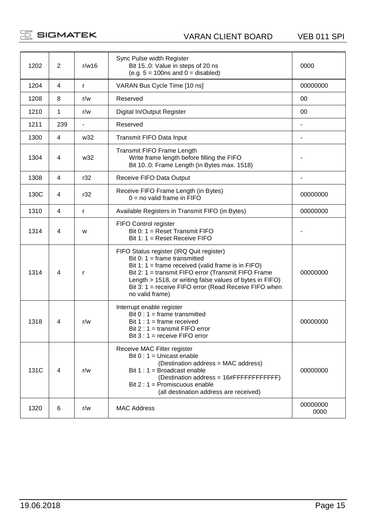$\mathbb E$  SIGMATEK

VARAN CLIENT BOARD VEB 011 SPI

| 1202 | $\overline{2}$ | r/w16 | Sync Pulse width Register<br>Bit 150: Value in steps of 20 ns<br>$(e.q. 5 = 100ns and 0 = disabeled)$                                                                                                                                                                                                                             | 0000             |
|------|----------------|-------|-----------------------------------------------------------------------------------------------------------------------------------------------------------------------------------------------------------------------------------------------------------------------------------------------------------------------------------|------------------|
| 1204 | 4              | r.    | VARAN Bus Cycle Time [10 ns]                                                                                                                                                                                                                                                                                                      | 00000000         |
| 1208 | 8              | r/w   | Reserved                                                                                                                                                                                                                                                                                                                          | $00 \,$          |
| 1210 | 1              | r/w   | Digital In/Output Register                                                                                                                                                                                                                                                                                                        | 00               |
| 1211 | 239            | ÷.    | Reserved                                                                                                                                                                                                                                                                                                                          | ÷,               |
| 1300 | 4              | w32   | Transmit FIFO Data Input                                                                                                                                                                                                                                                                                                          | ä,               |
| 1304 | 4              | w32   | Transmit FIFO Frame Length<br>Write frame length before filling the FIFO<br>Bit 100: Frame Length (in Bytes max. 1518)                                                                                                                                                                                                            |                  |
| 1308 | 4              | r32   | Receive FIFO Data Output                                                                                                                                                                                                                                                                                                          |                  |
| 130C | 4              | r32   | Receive FIFO Frame Length (in Bytes)<br>$0 =$ no valid frame in FIFO                                                                                                                                                                                                                                                              | 00000000         |
| 1310 | 4              | r     | Available Registers in Transmit FIFO (in Bytes)                                                                                                                                                                                                                                                                                   | 00000000         |
| 1314 | 4              | W     | FIFO Control register<br>Bit 0: 1 = Reset Transmit FIFO<br>Bit 1: $1 =$ Reset Receive FIFO                                                                                                                                                                                                                                        |                  |
| 1314 | 4              | r     | FIFO Status register (IRQ Quit register)<br>Bit 0: $1 =$ frame transmitted<br>Bit 1: $1 =$ frame received (valid frame is in FIFO)<br>Bit 2: 1 = transmit FIFO error (Transmit FIFO Frame<br>Length > 1518, or writing false values of bytes in FIFO)<br>Bit 3: 1 = receive FIFO error (Read Receive FIFO when<br>no valid frame) | 00000000         |
| 1318 | 4              | r/w   | Interrupt enable register<br>Bit $0:1$ = frame transmitted<br>Bit $1:1$ = frame received<br>Bit $2:1$ = transmit FIFO error<br>Bit $3:1$ = receive FIFO error                                                                                                                                                                     | 00000000         |
| 131C | 4              | r/w   | Receive MAC Filter register<br>Bit $0:1 =$ Unicast enable<br>(Destination address = MAC address)<br>Bit $1:1 = B$ roadcast enable<br>(Destination address = 16#FFFFFFFFFFFFFF<br>Bit $2:1$ = Promiscuous enable<br>(all destination address are received)                                                                         | 00000000         |
| 1320 | 6              | r/w   | <b>MAC Address</b>                                                                                                                                                                                                                                                                                                                | 00000000<br>0000 |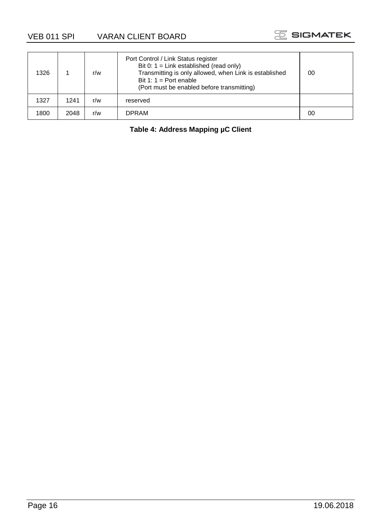VEB 011 SPI VARAN CLIENT BOARD



| 1326 |      | r/w | Port Control / Link Status register<br>Bit 0: $1 =$ Link established (read only)<br>Transmitting is only allowed, when Link is established<br>Bit 1: $1 =$ Port enable<br>(Port must be enabled before transmitting) | 00 |
|------|------|-----|----------------------------------------------------------------------------------------------------------------------------------------------------------------------------------------------------------------------|----|
| 1327 | 1241 | r/w | reserved                                                                                                                                                                                                             |    |
| 1800 | 2048 | r/w | <b>DPRAM</b>                                                                                                                                                                                                         | 00 |

#### **Table 4: Address Mapping µC Client**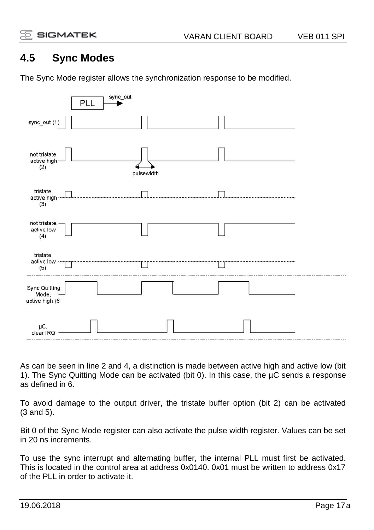### **4.5 Sync Modes**

The Sync Mode register allows the synchronization response to be modified.



As can be seen in line 2 and 4, a distinction is made between active high and active low (bit 1). The Sync Quitting Mode can be activated (bit 0). In this case, the µC sends a response as defined in 6.

To avoid damage to the output driver, the tristate buffer option (bit 2) can be activated (3 and 5).

Bit 0 of the Sync Mode register can also activate the pulse width register. Values can be set in 20 ns increments.

To use the sync interrupt and alternating buffer, the internal PLL must first be activated. This is located in the control area at address 0x0140. 0x01 must be written to address 0x17 of the PLL in order to activate it.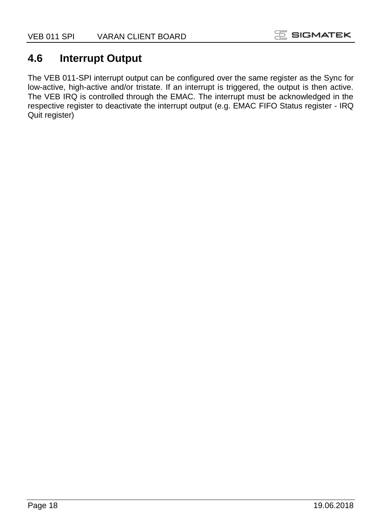#### **4.6 Interrupt Output**

The VEB 011-SPI interrupt output can be configured over the same register as the Sync for low-active, high-active and/or tristate. If an interrupt is triggered, the output is then active. The VEB IRQ is controlled through the EMAC. The interrupt must be acknowledged in the respective register to deactivate the interrupt output (e.g. EMAC FIFO Status register - IRQ Quit register)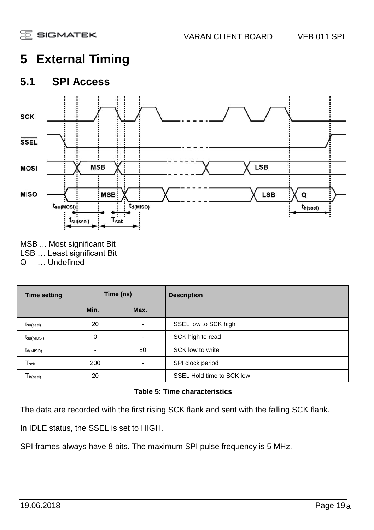# **5 External Timing**

#### **5.1 SPI Access**



- MSB ... Most significant Bit
- LSB ... Least significant Bit<br>Q ... Undefined

... Undefined

| <b>Time setting</b>          | Time (ns) |      | <b>Description</b>        |
|------------------------------|-----------|------|---------------------------|
|                              | Min.      | Max. |                           |
| $t_{\text{su}(\text{ssel})}$ | 20        | ۰    | SSEL low to SCK high      |
| $t_{\text{su(MOSI)}}$        | 0         | ۰    | SCK high to read          |
| $t_{d(MISO)}$                |           | 80   | SCK low to write          |
| $T_{\rm sck}$                | 200       | ٠    | SPI clock period          |
| $T_{h(\mathrm{ssel})}$       | 20        |      | SSEL Hold time to SCK low |

#### **Table 5: Time characteristics**

The data are recorded with the first rising SCK flank and sent with the falling SCK flank.

In IDLE status, the SSEL is set to HIGH.

SPI frames always have 8 bits. The maximum SPI pulse frequency is 5 MHz.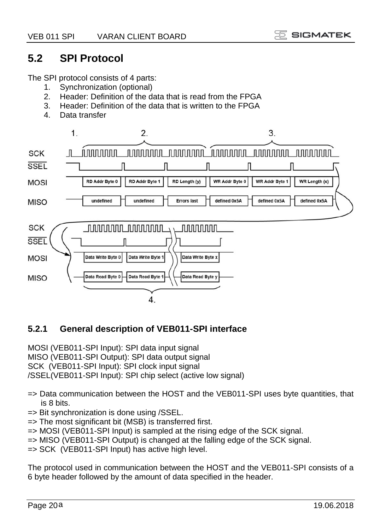#### **5.2 SPI Protocol**

The SPI protocol consists of 4 parts:

- 1. Synchronization (optional)<br>2. Header: Definition of the d
- Header: Definition of the data that is read from the FPGA
- 3. Header: Definition of the data that is written to the FPGA
- 4. Data transfer



#### **5.2.1 General description of VEB011-SPI interface**

MOSI (VEB011-SPI Input): SPI data input signal MISO (VEB011-SPI Output): SPI data output signal SCK (VEB011-SPI Input): SPI clock input signal /SSEL(VEB011-SPI Input): SPI chip select (active low signal)

- => Data communication between the HOST and the VEB011-SPI uses byte quantities, that is 8 bits.
- => Bit synchronization is done using /SSEL.
- => The most significant bit (MSB) is transferred first.
- => MOSI (VEB011-SPI Input) is sampled at the rising edge of the SCK signal.
- $\Rightarrow$  MISO (VEB011-SPI Output) is changed at the falling edge of the SCK signal.
- => SCK (VEB011-SPI Input) has active high level.

The protocol used in communication between the HOST and the VEB011-SPI consists of a 6 byte header followed by the amount of data specified in the header.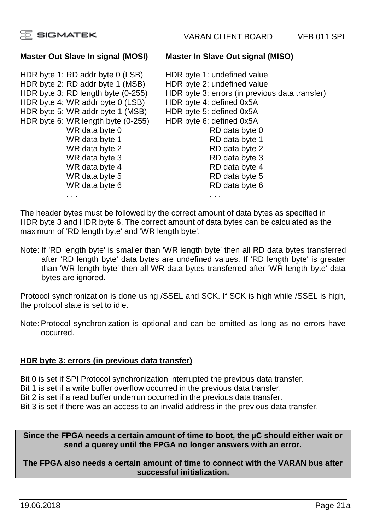#### **Master Out Slave In signal (MOSI) Master In Slave Out signal (MISO)**

HDR byte 1: RD addr byte 0 (LSB) HDR byte 1: undefined value<br>HDR byte 2: RD addr byte 1 (MSB) HDR byte 2: undefined value HDR byte 2: RD addr byte 1 (MSB)<br>HDR byte 3: RD length byte (0-255) HDR byte 4: WR addr byte 0 (LSB) HDR byte 4: defined 0x5A<br>HDR byte 5: WR addr byte 1 (MSB) HDR byte 5: defined 0x5A HDR byte 5: WR addr byte 1 (MSB) HDR byte 5: defined 0x5A<br>HDR byte 6: WR length byte (0-255) HDR byte 6: defined 0x5A HDR byte 6: WR length byte (0-255) HDR byte 6: defined 0x5A WR data byte 0 RD data byte 0<br>WR data byte 1 RD data byte 1 WR data byte 1 WR data byte 2 and 2 RD data byte 2<br>WR data byte 3 and 2 RD data byte 3 WR data byte 3 RD data byte 3<br>WR data byte 4 RD data byte 4 WR data byte 4 RD data byte 4<br>WR data byte 5 RD data byte 5 WR data byte 5<br>WR data byte 6

HDR byte 3: errors (in previous data transfer)<br>HDR byte 4: defined 0x5A RD data byte 6 . . . . . .

The header bytes must be followed by the correct amount of data bytes as specified in HDR byte 3 and HDR byte 6. The correct amount of data bytes can be calculated as the maximum of 'RD length byte' and 'WR length byte'.

Note: If 'RD length byte' is smaller than 'WR length byte' then all RD data bytes transferred after 'RD length byte' data bytes are undefined values. If 'RD length byte' is greater than 'WR length byte' then all WR data bytes transferred after 'WR length byte' data bytes are ignored.

Protocol synchronization is done using /SSEL and SCK. If SCK is high while /SSEL is high, the protocol state is set to idle.

Note: Protocol synchronization is optional and can be omitted as long as no errors have occurred.

#### **HDR byte 3: errors (in previous data transfer)**

Bit 0 is set if SPI Protocol synchronization interrupted the previous data transfer.

Bit 1 is set if a write buffer overflow occurred in the previous data transfer.

Bit 2 is set if a read buffer underrun occurred in the previous data transfer.

Bit 3 is set if there was an access to an invalid address in the previous data transfer.

#### **Since the FPGA needs a certain amount of time to boot, the µC should either wait or send a querey until the FPGA no longer answers with an error.**

**The FPGA also needs a certain amount of time to connect with the VARAN bus after successful initialization.**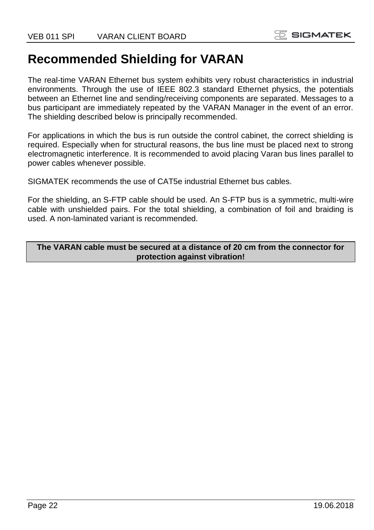# **Recommended Shielding for VARAN**

The real-time VARAN Ethernet bus system exhibits very robust characteristics in industrial environments. Through the use of IEEE 802.3 standard Ethernet physics, the potentials between an Ethernet line and sending/receiving components are separated. Messages to a bus participant are immediately repeated by the VARAN Manager in the event of an error. The shielding described below is principally recommended.

For applications in which the bus is run outside the control cabinet, the correct shielding is required. Especially when for structural reasons, the bus line must be placed next to strong electromagnetic interference. It is recommended to avoid placing Varan bus lines parallel to power cables whenever possible.

SIGMATEK recommends the use of CAT5e industrial Ethernet bus cables.

For the shielding, an S-FTP cable should be used. An S-FTP bus is a symmetric, multi-wire cable with unshielded pairs. For the total shielding, a combination of foil and braiding is used. A non-laminated variant is recommended.

**The VARAN cable must be secured at a distance of 20 cm from the connector for protection against vibration!**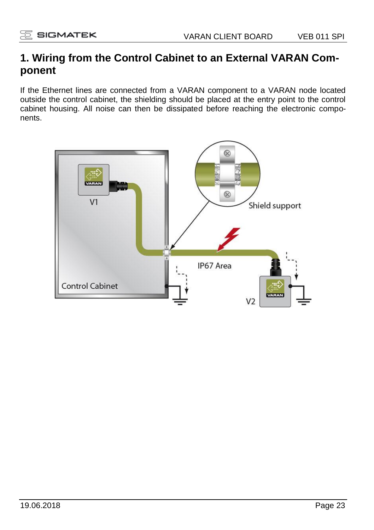#### **1. Wiring from the Control Cabinet to an External VARAN Component**

If the Ethernet lines are connected from a VARAN component to a VARAN node located outside the control cabinet, the shielding should be placed at the entry point to the control cabinet housing. All noise can then be dissipated before reaching the electronic components.

![](_page_22_Figure_5.jpeg)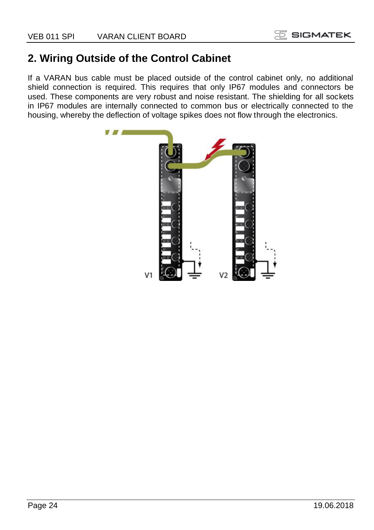## **2. Wiring Outside of the Control Cabinet**

If a VARAN bus cable must be placed outside of the control cabinet only, no additional shield connection is required. This requires that only IP67 modules and connectors be used. These components are very robust and noise resistant. The shielding for all sockets in IP67 modules are internally connected to common bus or electrically connected to the housing, whereby the deflection of voltage spikes does not flow through the electronics.

![](_page_23_Picture_4.jpeg)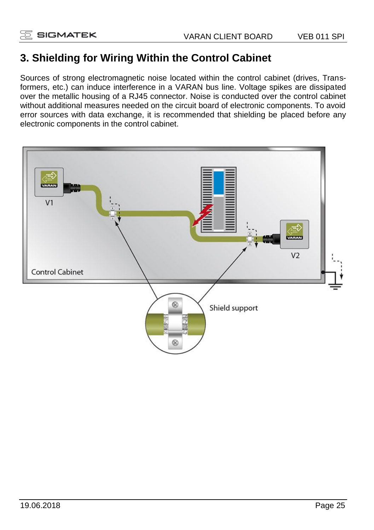## **3. Shielding for Wiring Within the Control Cabinet**

Sources of strong electromagnetic noise located within the control cabinet (drives, Transformers, etc.) can induce interference in a VARAN bus line. Voltage spikes are dissipated over the metallic housing of a RJ45 connector. Noise is conducted over the control cabinet without additional measures needed on the circuit board of electronic components. To avoid error sources with data exchange, it is recommended that shielding be placed before any electronic components in the control cabinet.

![](_page_24_Figure_5.jpeg)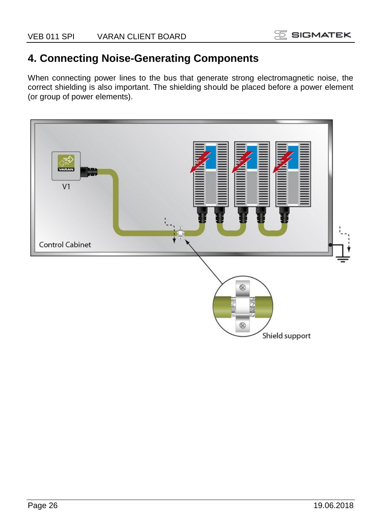### **4. Connecting Noise-Generating Components**

When connecting power lines to the bus that generate strong electromagnetic noise, the correct shielding is also important. The shielding should be placed before a power element (or group of power elements).

![](_page_25_Picture_4.jpeg)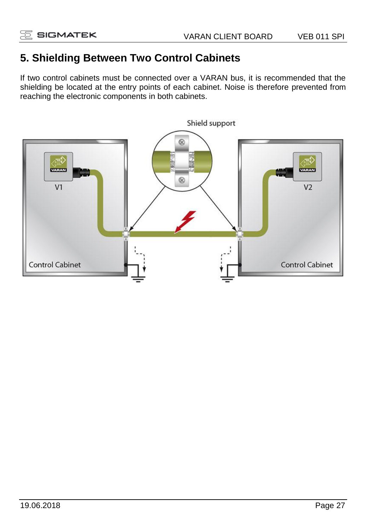### **5. Shielding Between Two Control Cabinets**

If two control cabinets must be connected over a VARAN bus, it is recommended that the shielding be located at the entry points of each cabinet. Noise is therefore prevented from reaching the electronic components in both cabinets.

![](_page_26_Figure_5.jpeg)